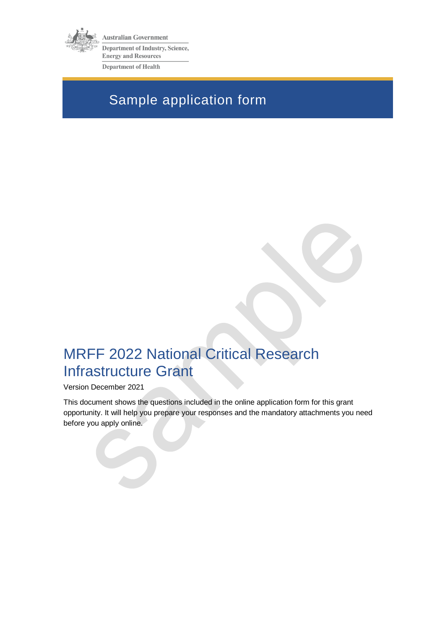

**Australian Government** Department of Industry, Science, **Energy and Resources Department of Health** 

# Sample application form

# MRFF 2022 National Critical Research Infrastructure Grant

Version December 2021

This document shows the questions included in the online application form for this grant opportunity. It will help you prepare your responses and the mandatory attachments you need before you apply online.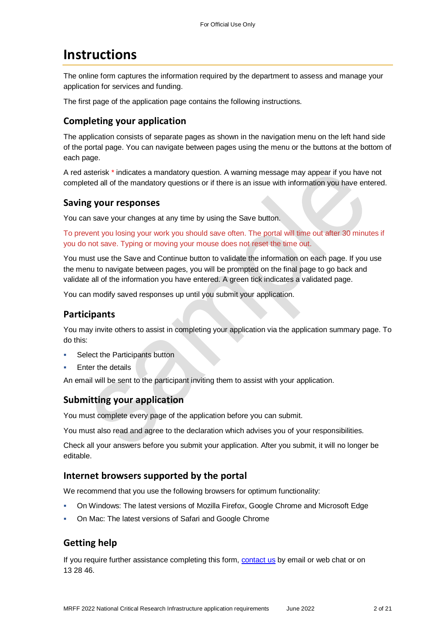# **Instructions**

The online form captures the information required by the department to assess and manage your application for services and funding.

The first page of the application page contains the following instructions.

# **Completing your application**

The application consists of separate pages as shown in the navigation menu on the left hand side of the portal page. You can navigate between pages using the menu or the buttons at the bottom of each page.

A red asterisk \* indicates a mandatory question. A warning message may appear if you have not completed all of the mandatory questions or if there is an issue with information you have entered.

### **Saving your responses**

You can save your changes at any time by using the Save button.

To prevent you losing your work you should save often. The portal will time out after 30 minutes if you do not save. Typing or moving your mouse does not reset the time out.

You must use the Save and Continue button to validate the information on each page. If you use the menu to navigate between pages, you will be prompted on the final page to go back and validate all of the information you have entered. A green tick indicates a validated page.

You can modify saved responses up until you submit your application.

### **Participants**

You may invite others to assist in completing your application via the application summary page. To do this:

- Select the Participants button
- Enter the details

An email will be sent to the participant inviting them to assist with your application.

### **Submitting your application**

You must complete every page of the application before you can submit.

You must also read and agree to the declaration which advises you of your responsibilities.

Check all your answers before you submit your application. After you submit, it will no longer be editable.

### **Internet browsers supported by the portal**

We recommend that you use the following browsers for optimum functionality:

- On Windows: The latest versions of Mozilla Firefox, Google Chrome and Microsoft Edge
- On Mac: The latest versions of Safari and Google Chrome

# **Getting help**

If you require further assistance completing this form, [contact us](https://www.business.gov.au/contact-us) by email or web chat or on 13 28 46.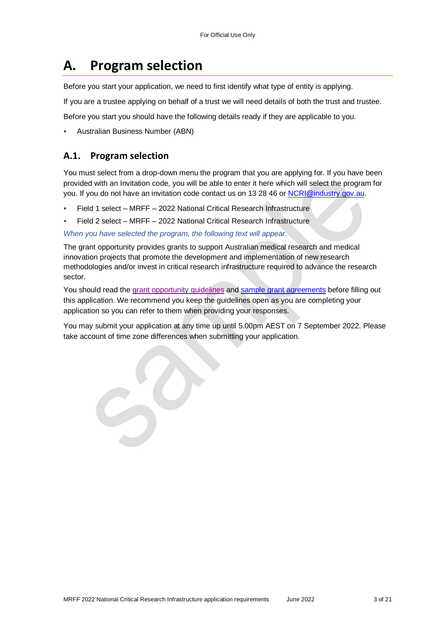# **A. Program selection**

Before you start your application, we need to first identify what type of entity is applying.

If you are a trustee applying on behalf of a trust we will need details of both the trust and trustee.

Before you start you should have the following details ready if they are applicable to you.

Australian Business Number (ABN)

#### **A.1. Program selection**

You must select from a drop-down menu the program that you are applying for. If you have been provided with an Invitation code, you will be able to enter it here which will select the program for you. If you do not have an invitation code contact us on 13 28 46 or [NCRI@industry.gov.au.](mailto:NCRI@industry.gov.au)

- Field 1 select MRFF 2022 National Critical Research Infrastructure
- Field 2 select MRFF 2022 National Critical Research Infrastructure

*When you have selected the program, the following text will appear.*

The grant opportunity provides grants to support Australian medical research and medical innovation projects that promote the development and implementation of new research methodologies and/or invest in critical research infrastructure required to advance the research sector.

You should read the [grant opportunity guidelines](https://business.gov.au/grants-and-programs/mrff-2022-national-critical-research-infrastructure-initiative#key-documents) and [sample grant agreements](https://business.gov.au/grants-and-programs/mrff-2022-national-critical-research-infrastructure-initiative#key-documents) before filling out this application. We recommend you keep the guidelines open as you are completing your application so you can refer to them when providing your responses.

You may submit your application at any time up until 5.00pm AEST on 7 September 2022. Please take account of time zone differences when submitting your application.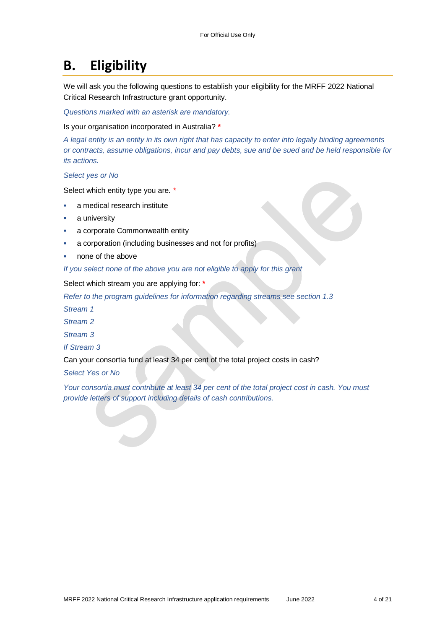# **B. Eligibility**

We will ask you the following questions to establish your eligibility for the MRFF 2022 National Critical Research Infrastructure grant opportunity.

*Questions marked with an asterisk are mandatory.* 

Is your organisation incorporated in Australia? **\***

*A legal entity is an entity in its own right that has capacity to enter into legally binding agreements or contracts, assume obligations, incur and pay debts, sue and be sued and be held responsible for its actions.*

*Select yes or No*

Select which entity type you are. *\**

- a medical research institute
- a university
- a corporate Commonwealth entity
- a corporation (including businesses and not for profits)
- none of the above

*If you select none of the above you are not eligible to apply for this grant*

Select which stream you are applying for: **\***

*Refer to the program guidelines for information regarding streams see section 1.3*

*Stream 1*

*Stream 2*

*Stream 3*

*If Stream 3*

Can your consortia fund at least 34 per cent of the total project costs in cash?

*Select Yes or No*

*Your consortia must contribute at least 34 per cent of the total project cost in cash. You must provide letters of support including details of cash contributions.*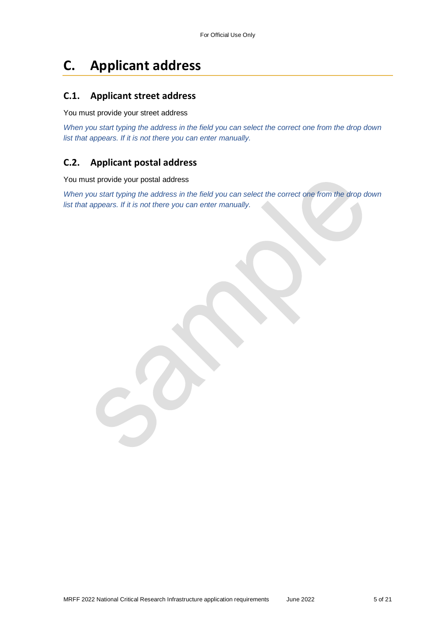# **C. Applicant address**

### **C.1. Applicant street address**

You must provide your street address

*When you start typing the address in the field you can select the correct one from the drop down list that appears. If it is not there you can enter manually.*

# **C.2. Applicant postal address**

You must provide your postal address

*When you start typing the address in the field you can select the correct one from the drop down list that appears. If it is not there you can enter manually.*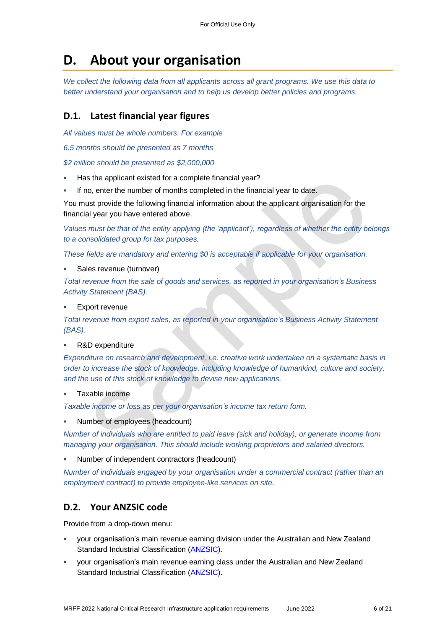# **D. About your organisation**

*We collect the following data from all applicants across all grant programs. We use this data to better understand your organisation and to help us develop better policies and programs.*

# **D.1. Latest financial year figures**

*All values must be whole numbers. For example*

*6.5 months should be presented as 7 months*

*\$2 million should be presented as \$2,000,000*

- Has the applicant existed for a complete financial year?
- If no, enter the number of months completed in the financial year to date.

You must provide the following financial information about the applicant organisation for the financial year you have entered above.

*Values must be that of the entity applying (the 'applicant'), regardless of whether the entity belongs to a consolidated group for tax purposes.*

*These fields are mandatory and entering \$0 is acceptable if applicable for your organisation.*

Sales revenue (turnover)

*Total revenue from the sale of goods and services, as reported in your organisation's Business Activity Statement (BAS).*

Export revenue

*Total revenue from export sales, as reported in your organisation's Business Activity Statement (BAS).*

#### R&D expenditure

*Expenditure on research and development, i.e. creative work undertaken on a systematic basis in order to increase the stock of knowledge, including knowledge of humankind, culture and society, and the use of this stock of knowledge to devise new applications.*

Taxable income

*Taxable income or loss as per your organisation's income tax return form.*

Number of employees (headcount)

*Number of individuals who are entitled to paid leave (sick and holiday), or generate income from managing your organisation. This should include working proprietors and salaried directors.*

Number of independent contractors (headcount)

*Number of individuals engaged by your organisation under a commercial contract (rather than an employment contract) to provide employee-like services on site.*

### **D.2. Your ANZSIC code**

Provide from a drop-down menu:

- your organisation's main revenue earning division under the Australian and New Zealand Standard Industrial Classification [\(ANZSIC\)](https://www.abs.gov.au/ausstats/abs@.nsf/0/20C5B5A4F46DF95BCA25711F00146D75?opendocument).
- your organisation's main revenue earning class under the Australian and New Zealand Standard Industrial Classification [\(ANZSIC\)](https://www.abs.gov.au/ausstats/abs@.nsf/0/20C5B5A4F46DF95BCA25711F00146D75?opendocument).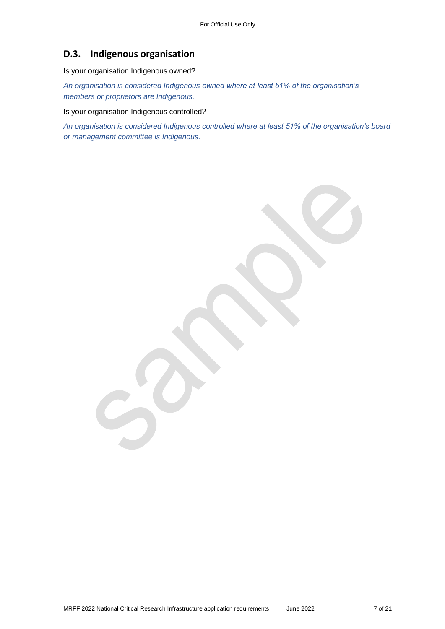# **D.3. Indigenous organisation**

Is your organisation Indigenous owned?

*An organisation is considered Indigenous owned where at least 51% of the organisation's members or proprietors are Indigenous.*

Is your organisation Indigenous controlled?

*An organisation is considered Indigenous controlled where at least 51% of the organisation's board or management committee is Indigenous.*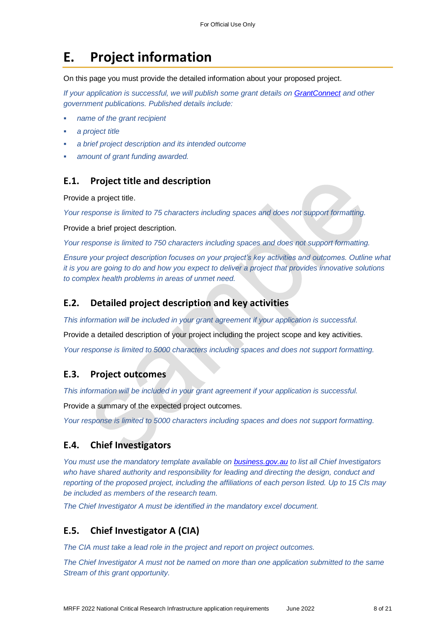# **E. Project information**

On this page you must provide the detailed information about your proposed project.

*If your application is successful, we will publish some grant details on GrantConnect and other government publications. Published details include:*

- *name of the grant recipient*
- *a project title*
- *a brief project description and its intended outcome*
- *amount of grant funding awarded.*

#### **E.1. Project title and description**

Provide a project title.

*Your response is limited to 75 characters including spaces and does not support formatting.* 

#### Provide a brief project description.

*Your response is limited to 750 characters including spaces and does not support formatting.* 

*Ensure your project description focuses on your project's key activities and outcomes. Outline what it is you are going to do and how you expect to deliver a project that provides innovative solutions to complex health problems in areas of unmet need.*

#### **E.2. Detailed project description and key activities**

*This information will be included in your grant agreement if your application is successful.*

Provide a detailed description of your project including the project scope and key activities.

*Your response is limited to 5000 characters including spaces and does not support formatting.* 

#### **E.3. Project outcomes**

*This information will be included in your grant agreement if your application is successful.* Provide a summary of the expected project outcomes.

*Your response is limited to 5000 characters including spaces and does not support formatting.*

### **E.4. Chief Investigators**

*You must use the mandatory template available on [business.gov.au](https://business.gov.au/grants-and-programs/mrff-2022-national-critical-research-infrastructure-initiative#key-documents) to list all Chief Investigators who have shared authority and responsibility for leading and directing the design, conduct and reporting of the proposed project, including the affiliations of each person listed. Up to 15 CIs may be included as members of the research team.*

*The Chief Investigator A must be identified in the mandatory excel document.*

#### **E.5. Chief Investigator A (CIA)**

*The CIA must take a lead role in the project and report on project outcomes.*

*The Chief Investigator A must not be named on more than one application submitted to the same Stream of this grant opportunity.*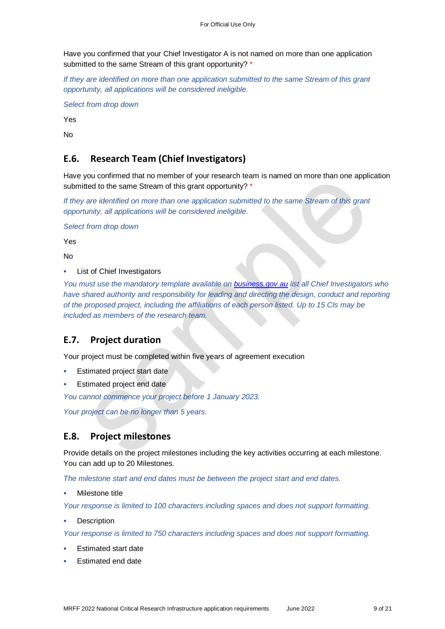Have you confirmed that your Chief Investigator A is not named on more than one application submitted to the same Stream of this grant opportunity? \*

*If they are identified on more than one application submitted to the same Stream of this grant opportunity, all applications will be considered ineligible.*

*Select from drop down* 

Yes

No

### **E.6. Research Team (Chief Investigators)**

Have you confirmed that no member of your research team is named on more than one application submitted to the same Stream of this grant opportunity? \*

*If they are identified on more than one application submitted to the same Stream of this grant opportunity, all applications will be considered ineligible.* 

*Select from drop down* 

Yes

No

List of Chief Investigators

*You must use the mandatory template available on [business.gov.au](https://business.gov.au/grants-and-programs/mrff-2022-national-critical-research-infrastructure-initiative#key-documents) list all Chief Investigators who*  have shared authority and responsibility for leading and directing the design, conduct and reporting *of the proposed project, including the affiliations of each person listed. Up to 15 CIs may be included as members of the research team.*

### **E.7. Project duration**

Your project must be completed within five years of agreement execution

- Estimated project start date
- Estimated project end date

*You cannot commence your project before 1 January 2023.*

*Your project can be no longer than 5 years.*

### **E.8. Project milestones**

Provide details on the project milestones including the key activities occurring at each milestone. You can add up to 20 Milestones.

*The milestone start and end dates must be between the project start and end dates.* 

Milestone title

*Your response is limited to 100 characters including spaces and does not support formatting.*

Description

*Your response is limited to 750 characters including spaces and does not support formatting.*

- Estimated start date
- Estimated end date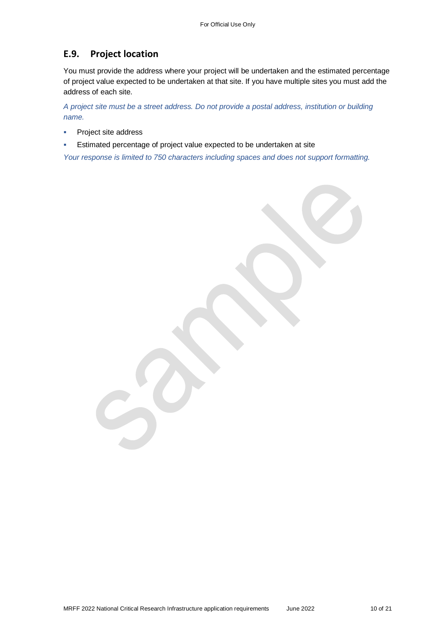# **E.9. Project location**

You must provide the address where your project will be undertaken and the estimated percentage of project value expected to be undertaken at that site. If you have multiple sites you must add the address of each site.

*A project site must be a street address. Do not provide a postal address, institution or building name.* 

- **Project site address**
- **Estimated percentage of project value expected to be undertaken at site**

*Your response is limited to 750 characters including spaces and does not support formatting.*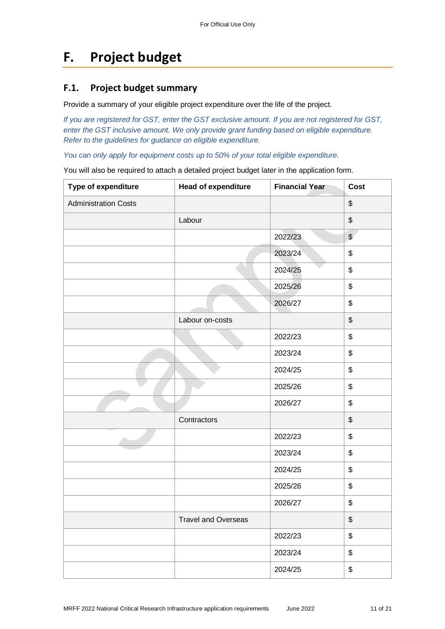# **F. Project budget**

## **F.1. Project budget summary**

Provide a summary of your eligible project expenditure over the life of the project.

*If you are registered for GST, enter the GST exclusive amount. If you are not registered for GST, enter the GST inclusive amount. We only provide grant funding based on eligible expenditure. Refer to the guidelines for guidance on eligible expenditure.*

*You can only apply for equipment costs up to 50% of your total eligible expenditure.*

You will also be required to attach a detailed project budget later in the application form.

| Type of expenditure         | <b>Head of expenditure</b> | <b>Financial Year</b> | Cost                                      |
|-----------------------------|----------------------------|-----------------------|-------------------------------------------|
| <b>Administration Costs</b> |                            |                       | \$                                        |
|                             | Labour                     |                       | \$                                        |
|                             |                            | 2022/23               | $\sqrt[6]{\frac{1}{2}}$                   |
|                             |                            | 2023/24               | \$                                        |
|                             |                            | 2024/25               | \$                                        |
|                             |                            | 2025/26               | \$                                        |
|                             |                            | 2026/27               | \$                                        |
|                             | Labour on-costs            |                       | \$                                        |
|                             |                            | 2022/23               | \$                                        |
|                             |                            | 2023/24               | \$                                        |
|                             |                            | 2024/25               | \$                                        |
|                             |                            | 2025/26               | \$                                        |
|                             |                            | 2026/27               | \$                                        |
|                             | Contractors                |                       | $\, \, \raisebox{12pt}{$\scriptstyle \$}$ |
|                             |                            | 2022/23               | \$                                        |
|                             |                            | 2023/24               | \$                                        |
|                             |                            | 2024/25               | \$                                        |
|                             |                            | 2025/26               | \$                                        |
|                             |                            | 2026/27               | \$                                        |
|                             | <b>Travel and Overseas</b> |                       | \$                                        |
|                             |                            | 2022/23               | \$                                        |
|                             |                            | 2023/24               | \$                                        |
|                             |                            | 2024/25               | \$                                        |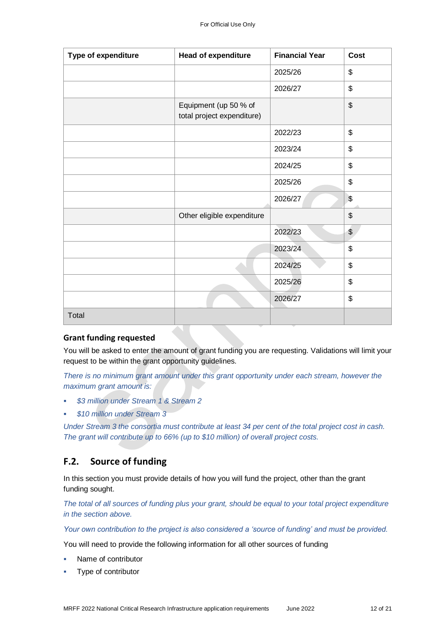| Type of expenditure | <b>Head of expenditure</b>                          | <b>Financial Year</b> | <b>Cost</b>               |
|---------------------|-----------------------------------------------------|-----------------------|---------------------------|
|                     |                                                     | 2025/26               | $\boldsymbol{\mathsf{S}}$ |
|                     |                                                     | 2026/27               | $\boldsymbol{\mathsf{S}}$ |
|                     | Equipment (up 50 % of<br>total project expenditure) |                       | $\frac{1}{2}$             |
|                     |                                                     | 2022/23               | $\mathfrak{S}$            |
|                     |                                                     | 2023/24               | \$                        |
|                     |                                                     | 2024/25               | $\boldsymbol{\mathsf{S}}$ |
|                     |                                                     | 2025/26               | \$                        |
|                     |                                                     | 2026/27               | $\sqrt{3}$                |
|                     | Other eligible expenditure                          |                       | $\frac{1}{2}$             |
|                     |                                                     | 2022/23               | $\sqrt[6]{\frac{1}{2}}$   |
|                     |                                                     | 2023/24               | $\boldsymbol{\mathsf{S}}$ |
|                     |                                                     | 2024/25               | $\mathfrak{S}$            |
|                     |                                                     | 2025/26               | $\boldsymbol{\mathsf{S}}$ |
|                     |                                                     | 2026/27               | $\boldsymbol{\mathsf{S}}$ |
| Total               |                                                     |                       |                           |

#### **Grant funding requested**

You will be asked to enter the amount of grant funding you are requesting. Validations will limit your request to be within the grant opportunity guidelines.

*There is no minimum grant amount under this grant opportunity under each stream, however the maximum grant amount is:*

- *\$3 million under Stream 1 & Stream 2*
- *\$10 million under Stream 3*

*Under Stream 3 the consortia must contribute at least 34 per cent of the total project cost in cash. The grant will contribute up to 66% (up to \$10 million) of overall project costs.*

### **F.2. Source of funding**

In this section you must provide details of how you will fund the project, other than the grant funding sought.

*The total of all sources of funding plus your grant, should be equal to your total project expenditure in the section above.*

*Your own contribution to the project is also considered a 'source of funding' and must be provided.*

You will need to provide the following information for all other sources of funding

- Name of contributor
- Type of contributor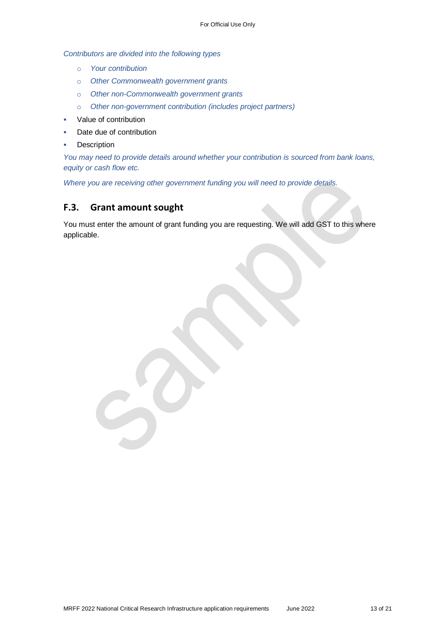*Contributors are divided into the following types*

- o *Your contribution*
- o *Other Commonwealth government grants*
- o *Other non-Commonwealth government grants*
- o *Other non-government contribution (includes project partners)*
- Value of contribution
- Date due of contribution
- **Description**

*You may need to provide details around whether your contribution is sourced from bank loans, equity or cash flow etc.* 

*Where you are receiving other government funding you will need to provide details.*

#### **F.3. Grant amount sought**

You must enter the amount of grant funding you are requesting. We will add GST to this where applicable.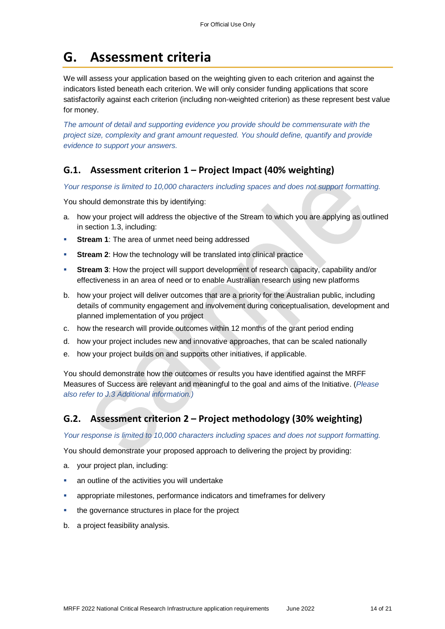# **G. Assessment criteria**

We will assess your application based on the weighting given to each criterion and against the indicators listed beneath each criterion. We will only consider funding applications that score satisfactorily against each criterion (including non-weighted criterion) as these represent best value for money.

*The amount of detail and supporting evidence you provide should be commensurate with the project size, complexity and grant amount requested. You should define, quantify and provide evidence to support your answers.*

# **G.1. Assessment criterion 1 – Project Impact (40% weighting)**

*Your response is limited to 10,000 characters including spaces and does not support formatting.* 

You should demonstrate this by identifying:

- a. how your project will address the objective of the Stream to which you are applying as outlined in section 1.3, including:
- **Stream 1:** The area of unmet need being addressed
- **Stream 2:** How the technology will be translated into clinical practice
- **Stream 3**: How the project will support development of research capacity, capability and/or effectiveness in an area of need or to enable Australian research using new platforms
- b. how your project will deliver outcomes that are a priority for the Australian public, including details of community engagement and involvement during conceptualisation, development and planned implementation of you project
- c. how the research will provide outcomes within 12 months of the grant period ending
- d. how your project includes new and innovative approaches, that can be scaled nationally
- e. how your project builds on and supports other initiatives, if applicable.

You should demonstrate how the outcomes or results you have identified against the MRFF Measures of Success are relevant and meaningful to the goal and aims of the Initiative. (*Please also refer to J.3 Additional information.)*

# **G.2. Assessment criterion 2 – Project methodology (30% weighting)**

*Your response is limited to 10,000 characters including spaces and does not support formatting.* 

You should demonstrate your proposed approach to delivering the project by providing:

- a. your project plan, including:
- an outline of the activities you will undertake
- appropriate milestones, performance indicators and timeframes for delivery
- the governance structures in place for the project
- b. a project feasibility analysis.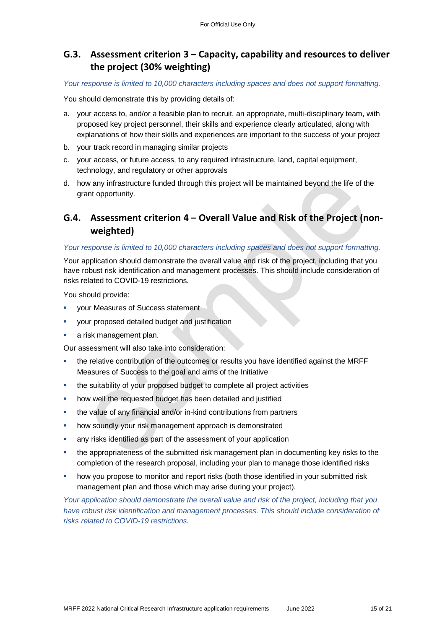# **G.3. Assessment criterion 3 – Capacity, capability and resources to deliver the project (30% weighting)**

#### *Your response is limited to 10,000 characters including spaces and does not support formatting.*

You should demonstrate this by providing details of:

- a. your access to, and/or a feasible plan to recruit, an appropriate, multi-disciplinary team, with proposed key project personnel, their skills and experience clearly articulated, along with explanations of how their skills and experiences are important to the success of your project
- b. your track record in managing similar projects
- c. your access, or future access, to any required infrastructure, land, capital equipment, technology, and regulatory or other approvals
- d. how any infrastructure funded through this project will be maintained beyond the life of the grant opportunity.

# **G.4. Assessment criterion 4 – Overall Value and Risk of the Project (nonweighted)**

#### *Your response is limited to 10,000 characters including spaces and does not support formatting.*

Your application should demonstrate the overall value and risk of the project, including that you have robust risk identification and management processes. This should include consideration of risks related to COVID-19 restrictions.

You should provide:

- **your Measures of Success statement**
- your proposed detailed budget and justification
- **a** risk management plan.

Our assessment will also take into consideration:

- the relative contribution of the outcomes or results you have identified against the MRFF Measures of Success to the goal and aims of the Initiative
- the suitability of your proposed budget to complete all project activities
- how well the requested budget has been detailed and justified
- the value of any financial and/or in-kind contributions from partners
- how soundly your risk management approach is demonstrated
- any risks identified as part of the assessment of your application
- the appropriateness of the submitted risk management plan in documenting key risks to the completion of the research proposal, including your plan to manage those identified risks
- how you propose to monitor and report risks (both those identified in your submitted risk management plan and those which may arise during your project).

*Your application should demonstrate the overall value and risk of the project, including that you have robust risk identification and management processes. This should include consideration of risks related to COVID-19 restrictions.*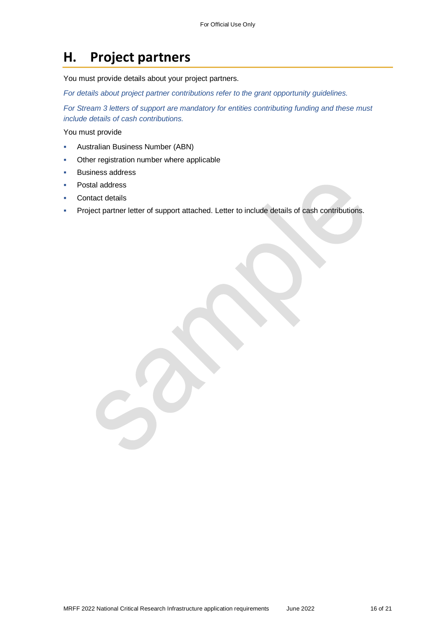# **H. Project partners**

You must provide details about your project partners.

*For details about project partner contributions refer to the grant opportunity guidelines.*

*For Stream 3 letters of support are mandatory for entities contributing funding and these must include details of cash contributions.*

You must provide

- Australian Business Number (ABN)
- Other registration number where applicable

- Business address
- Postal address
- Contact details
- **Project partner letter of support attached. Letter to include details of cash contributions.**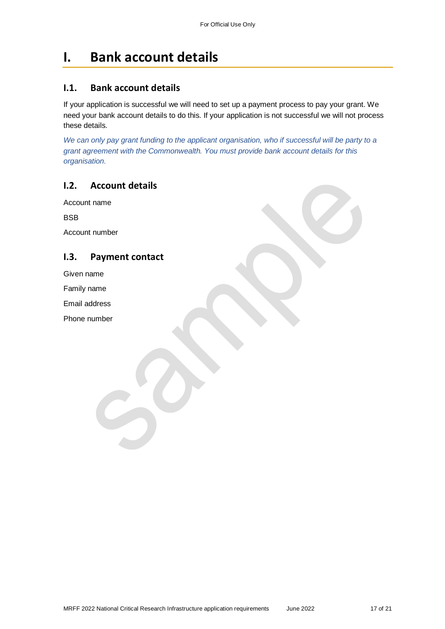# **I. Bank account details**

### **I.1. Bank account details**

If your application is successful we will need to set up a payment process to pay your grant. We need your bank account details to do this. If your application is not successful we will not process these details.

*We can only pay grant funding to the applicant organisation, who if successful will be party to a grant agreement with the Commonwealth. You must provide bank account details for this organisation.*

### **I.2. Account details**

Account name

BSB

Account number

### **I.3. Payment contact**

5

Given name

Family name

Email address

Phone number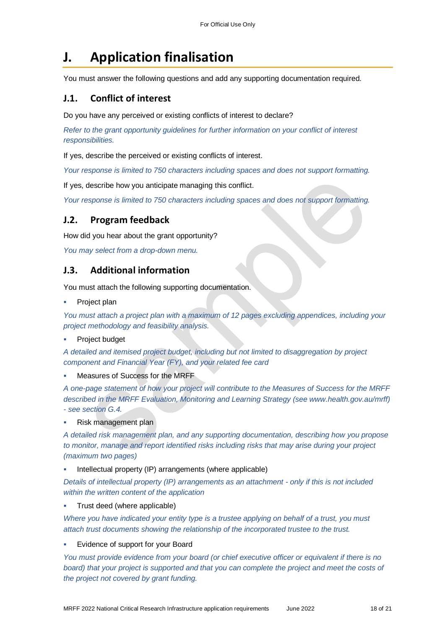# **J. Application finalisation**

You must answer the following questions and add any supporting documentation required.

## **J.1. Conflict of interest**

Do you have any perceived or existing conflicts of interest to declare?

*Refer to the grant opportunity guidelines for further information on your conflict of interest responsibilities.*

If yes, describe the perceived or existing conflicts of interest.

*Your response is limited to 750 characters including spaces and does not support formatting.*

If yes, describe how you anticipate managing this conflict.

*Your response is limited to 750 characters including spaces and does not support formatting.*

#### **J.2. Program feedback**

How did you hear about the grant opportunity?

*You may select from a drop-down menu.* 

#### **J.3. Additional information**

You must attach the following supporting documentation.

Project plan

*You must attach a project plan with a maximum of 12 pages excluding appendices, including your project methodology and feasibility analysis.*

Project budget

*A detailed and itemised project budget, including but not limited to disaggregation by project component and Financial Year (FY), and your related fee card*

Measures of Success for the MRFF

*A one-page statement of how your project will contribute to the Measures of Success for the MRFF described in the MRFF Evaluation, Monitoring and Learning Strategy (see www.health.gov.au/mrff) - see section G.4.*

Risk management plan

*A detailed risk management plan, and any supporting documentation, describing how you propose to monitor, manage and report identified risks including risks that may arise during your project (maximum two pages)*

Intellectual property (IP) arrangements (where applicable)

*Details of intellectual property (IP) arrangements as an attachment - only if this is not included within the written content of the application*

Trust deed (where applicable)

*Where you have indicated your entity type is a trustee applying on behalf of a trust, you must attach trust documents showing the relationship of the incorporated trustee to the trust.*

Evidence of support for your Board

*You must provide evidence from your board (or chief executive officer or equivalent if there is no*  board) that your project is supported and that you can complete the project and meet the costs of *the project not covered by grant funding.*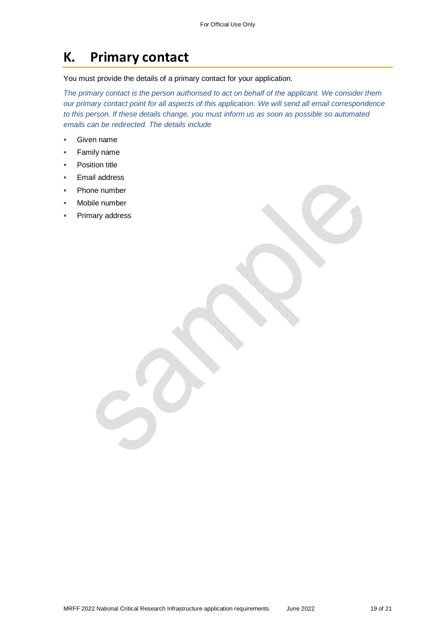# **K. Primary contact**

You must provide the details of a primary contact for your application.

*The primary contact is the person authorised to act on behalf of the applicant. We consider them our primary contact point for all aspects of this application. We will send all email correspondence to this person. If these details change, you must inform us as soon as possible so automated emails can be redirected. The details include*

- **Given name**
- **Family name**
- **•** Position title
- **Email address**
- Phone number
- Mobile number
- Primary address

MRFF 2022 National Critical Research Infrastructure application requirements June 2022 19 of 21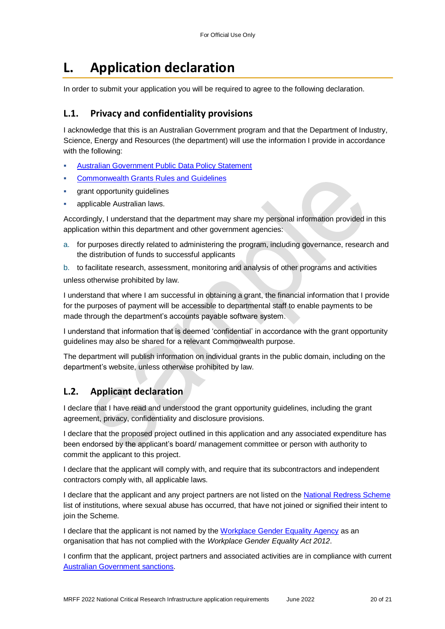# **L. Application declaration**

In order to submit your application you will be required to agree to the following declaration.

## **L.1. Privacy and confidentiality provisions**

I acknowledge that this is an Australian Government program and that the Department of Industry, Science, Energy and Resources (the department) will use the information I provide in accordance with the following:

- [Australian Government Public Data Policy Statement](https://www.pmc.gov.au/sites/default/files/publications/aust_govt_public_data_policy_statement_1.pdf)
- [Commonwealth Grants Rules and Guidelines](https://www.finance.gov.au/government/commonwealth-grants/commonwealth-grants-rules-guidelines)
- grant opportunity guidelines
- applicable Australian laws.

Accordingly, I understand that the department may share my personal information provided in this application within this department and other government agencies:

a. for purposes directly related to administering the program, including governance, research and the distribution of funds to successful applicants

b. to facilitate research, assessment, monitoring and analysis of other programs and activities unless otherwise prohibited by law.

I understand that where I am successful in obtaining a grant, the financial information that I provide for the purposes of payment will be accessible to departmental staff to enable payments to be made through the department's accounts payable software system.

I understand that information that is deemed 'confidential' in accordance with the grant opportunity guidelines may also be shared for a relevant Commonwealth purpose.

The department will publish information on individual grants in the public domain, including on the department's website, unless otherwise prohibited by law.

# **L.2. Applicant declaration**

I declare that I have read and understood the grant opportunity guidelines, including the grant agreement, privacy, confidentiality and disclosure provisions.

I declare that the proposed project outlined in this application and any associated expenditure has been endorsed by the applicant's board/ management committee or person with authority to commit the applicant to this project.

I declare that the applicant will comply with, and require that its subcontractors and independent contractors comply with, all applicable laws.

I declare that the applicant and any project partners are not listed on the [National Redress Scheme](https://www.nationalredress.gov.au/institutions/institutions-have-not-yet-joined) list of institutions, where sexual abuse has occurred, that have not joined or signified their intent to join the Scheme.

I declare that the applicant is not named by the [Workplace Gender Equality Agency](https://www.wgea.gov.au/what-we-do/compliance-reporting/non-compliant-list) as an organisation that has not complied with the *Workplace Gender Equality Act 2012*.

I confirm that the applicant, project partners and associated activities are in compliance with current [Australian Government sanctions.](https://www.dfat.gov.au/international-relations/security/sanctions)